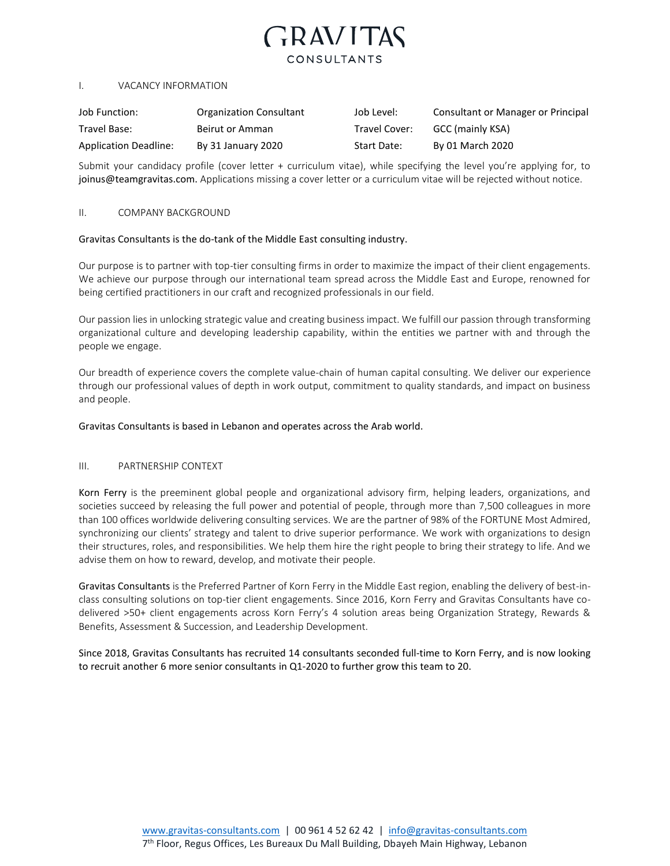# **GRAVITAS** CONSULTANTS

#### I. VACANCY INFORMATION

| Job Function:                | <b>Organization Consultant</b> | Job Level:    | Consultant or Manager or Principal |
|------------------------------|--------------------------------|---------------|------------------------------------|
| Travel Base:                 | Beirut or Amman                | Travel Cover: | GCC (mainly KSA)                   |
| <b>Application Deadline:</b> | By 31 January 2020             | Start Date:   | By 01 March 2020                   |

Submit your candidacy profile (cover letter + curriculum vitae), while specifying the level you're applying for, to joinus@teamgravitas.com. Applications missing a cover letter or a curriculum vitae will be rejected without notice.

#### II. COMPANY BACKGROUND

### Gravitas Consultants is the do-tank of the Middle East consulting industry.

Our purpose is to partner with top-tier consulting firms in order to maximize the impact of their client engagements. We achieve our purpose through our international team spread across the Middle East and Europe, renowned for being certified practitioners in our craft and recognized professionals in our field.

Our passion lies in unlocking strategic value and creating business impact. We fulfill our passion through transforming organizational culture and developing leadership capability, within the entities we partner with and through the people we engage.

Our breadth of experience covers the complete value-chain of human capital consulting. We deliver our experience through our professional values of depth in work output, commitment to quality standards, and impact on business and people.

### Gravitas Consultants is based in Lebanon and operates across the Arab world.

### III. PARTNERSHIP CONTEXT

Korn Ferry is the preeminent global people and organizational advisory firm, helping leaders, organizations, and societies succeed by releasing the full power and potential of people, through more than 7,500 colleagues in more than 100 offices worldwide delivering consulting services. We are the partner of 98% of the FORTUNE Most Admired, synchronizing our clients' strategy and talent to drive superior performance. We work with organizations to design their structures, roles, and responsibilities. We help them hire the right people to bring their strategy to life. And we advise them on how to reward, develop, and motivate their people.

Gravitas Consultants is the Preferred Partner of Korn Ferry in the Middle East region, enabling the delivery of best-inclass consulting solutions on top-tier client engagements. Since 2016, Korn Ferry and Gravitas Consultants have codelivered >50+ client engagements across Korn Ferry's 4 solution areas being Organization Strategy, Rewards & Benefits, Assessment & Succession, and Leadership Development.

Since 2018, Gravitas Consultants has recruited 14 consultants seconded full-time to Korn Ferry, and is now looking to recruit another 6 more senior consultants in Q1-2020 to further grow this team to 20.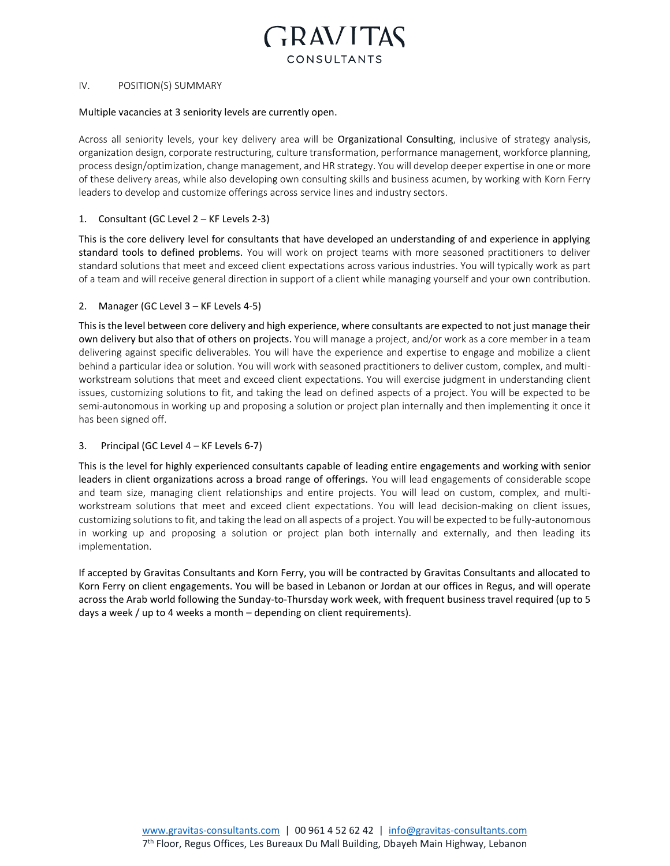

### IV. POSITION(S) SUMMARY

#### Multiple vacancies at 3 seniority levels are currently open.

Across all seniority levels, your key delivery area will be Organizational Consulting, inclusive of strategy analysis, organization design, corporate restructuring, culture transformation, performance management, workforce planning, process design/optimization, change management, and HR strategy. You will develop deeper expertise in one or more of these delivery areas, while also developing own consulting skills and business acumen, by working with Korn Ferry leaders to develop and customize offerings across service lines and industry sectors.

## 1. Consultant (GC Level 2 – KF Levels 2-3)

This is the core delivery level for consultants that have developed an understanding of and experience in applying standard tools to defined problems. You will work on project teams with more seasoned practitioners to deliver standard solutions that meet and exceed client expectations across various industries. You will typically work as part of a team and will receive general direction in support of a client while managing yourself and your own contribution.

### 2. Manager (GC Level 3 – KF Levels 4-5)

This is the level between core delivery and high experience, where consultants are expected to not just manage their own delivery but also that of others on projects. You will manage a project, and/or work as a core member in a team delivering against specific deliverables. You will have the experience and expertise to engage and mobilize a client behind a particular idea or solution. You will work with seasoned practitioners to deliver custom, complex, and multiworkstream solutions that meet and exceed client expectations. You will exercise judgment in understanding client issues, customizing solutions to fit, and taking the lead on defined aspects of a project. You will be expected to be semi-autonomous in working up and proposing a solution or project plan internally and then implementing it once it has been signed off.

### 3. Principal (GC Level 4 – KF Levels 6-7)

This is the level for highly experienced consultants capable of leading entire engagements and working with senior leaders in client organizations across a broad range of offerings. You will lead engagements of considerable scope and team size, managing client relationships and entire projects. You will lead on custom, complex, and multiworkstream solutions that meet and exceed client expectations. You will lead decision-making on client issues, customizing solutions to fit, and taking the lead on all aspects of a project. You will be expected to be fully-autonomous in working up and proposing a solution or project plan both internally and externally, and then leading its implementation.

If accepted by Gravitas Consultants and Korn Ferry, you will be contracted by Gravitas Consultants and allocated to Korn Ferry on client engagements. You will be based in Lebanon or Jordan at our offices in Regus, and will operate across the Arab world following the Sunday-to-Thursday work week, with frequent business travel required (up to 5 days a week / up to 4 weeks a month – depending on client requirements).